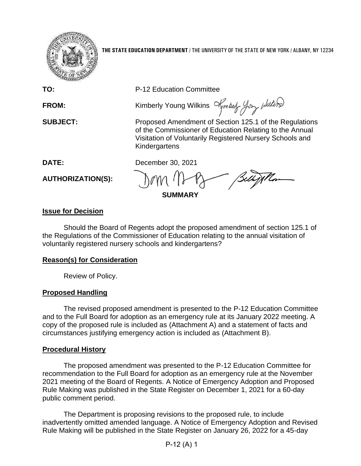

**THE STATE EDUCATION DEPARTMENT** / THE UNIVERSITY OF THE STATE OF NEW YORK / ALBANY, NY 12234

**TO:** P-12 Education Committee

**FROM:** Kimberly Young Wilkins  $\mathcal{A}_{\text{m}}$  best  $\mathcal{A}_{\text{m}}$  where  $\mathcal{A}_{\text{m}}$ 

**SUBJECT:** Proposed Amendment of Section 125.1 of the Regulations of the Commissioner of Education Relating to the Annual Visitation of Voluntarily Registered Nursery Schools and Kindergartens

**DATE:** December 30, 2021

**AUTHORIZATION(S):**

**SUMMARY**

# **Issue for Decision**

Should the Board of Regents adopt the proposed amendment of section 125.1 of the Regulations of the Commissioner of Education relating to the annual visitation of voluntarily registered nursery schools and kindergartens?

# **Reason(s) for Consideration**

Review of Policy.

# **Proposed Handling**

The revised proposed amendment is presented to the P-12 Education Committee and to the Full Board for adoption as an emergency rule at its January 2022 meeting. A copy of the proposed rule is included as (Attachment A) and a statement of facts and circumstances justifying emergency action is included as (Attachment B).

# **Procedural History**

The proposed amendment was presented to the P-12 Education Committee for recommendation to the Full Board for adoption as an emergency rule at the November 2021 meeting of the Board of Regents. A Notice of Emergency Adoption and Proposed Rule Making was published in the State Register on December 1, 2021 for a 60-day public comment period.

The Department is proposing revisions to the proposed rule, to include inadvertently omitted amended language. A Notice of Emergency Adoption and Revised Rule Making will be published in the State Register on January 26, 2022 for a 45-day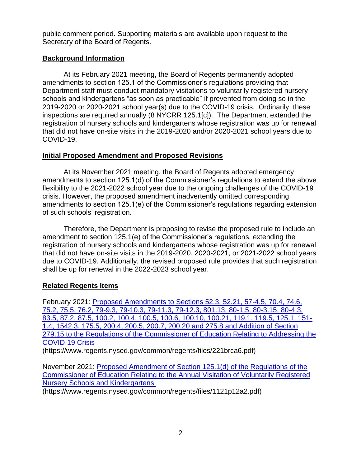public comment period. Supporting materials are available upon request to the Secretary of the Board of Regents.

## **Background Information**

At its February 2021 meeting, the Board of Regents permanently adopted amendments to section 125.1 of the Commissioner's regulations providing that Department staff must conduct mandatory visitations to voluntarily registered nursery schools and kindergartens "as soon as practicable" if prevented from doing so in the 2019-2020 or 2020-2021 school year(s) due to the COVID-19 crisis. Ordinarily, these inspections are required annually (8 NYCRR 125.1[c]). The Department extended the registration of nursery schools and kindergartens whose registration was up for renewal that did not have on-site visits in the 2019-2020 and/or 2020-2021 school years due to COVID-19.

### **Initial Proposed Amendment and Proposed Revisions**

At its November 2021 meeting, the Board of Regents adopted emergency amendments to section 125.1(d) of the Commissioner's regulations to extend the above flexibility to the 2021-2022 school year due to the ongoing challenges of the COVID-19 crisis. However, the proposed amendment inadvertently omitted corresponding amendments to section 125.1(e) of the Commissioner's regulations regarding extension of such schools' registration.

Therefore, the Department is proposing to revise the proposed rule to include an amendment to section 125.1(e) of the Commissioner's regulations, extending the registration of nursery schools and kindergartens whose registration was up for renewal that did not have on-site visits in the 2019-2020, 2020-2021, or 2021-2022 school years due to COVID-19. Additionally, the revised proposed rule provides that such registration shall be up for renewal in the 2022-2023 school year.

## **Related Regents Items**

February 2021: [Proposed Amendments to Sections 52.3, 52.21, 57-4.5, 70.4, 74.6,](https://www.regents.nysed.gov/common/regents/files/221brca6.pdf)  [75.2, 75.5, 76.2, 79-9.3, 79-10.3, 79-11.3, 79-12.3, 801.13, 80-1.5, 80-3.15, 80-4.3,](https://www.regents.nysed.gov/common/regents/files/221brca6.pdf)  [83.5, 87.2, 87.5, 100.2, 100.4, 100.5, 100.6, 100.10, 100.21, 119.1, 119.5, 125.1, 151-](https://www.regents.nysed.gov/common/regents/files/221brca6.pdf) [1.4, 1542.3, 175.5, 200.4, 200.5, 200.7, 200.20 and 275.8 and Addition of Section](https://www.regents.nysed.gov/common/regents/files/221brca6.pdf)  [279.15 to the Regulations of the Commissioner of Education Relating to Addressing the](https://www.regents.nysed.gov/common/regents/files/221brca6.pdf)  [COVID-19 Crisis](https://www.regents.nysed.gov/common/regents/files/221brca6.pdf)

(https://www.regents.nysed.gov/common/regents/files/221brca6.pdf)

November 2021: [Proposed Amendment of Section 125.1\(d\) of the Regulations of the](https://www.regents.nysed.gov/common/regents/files/1121p12a2.pdf)  [Commissioner of Education Relating to the Annual Visitation of Voluntarily Registered](https://www.regents.nysed.gov/common/regents/files/1121p12a2.pdf)  [Nursery Schools and Kindergartens](https://www.regents.nysed.gov/common/regents/files/1121p12a2.pdf)

(https://www.regents.nysed.gov/common/regents/files/1121p12a2.pdf)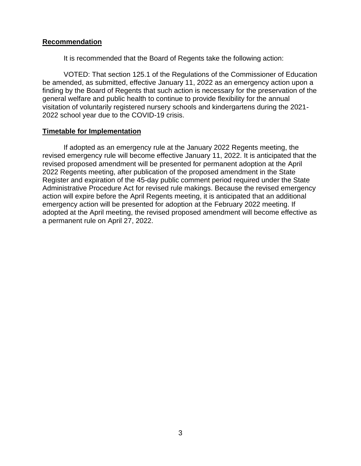#### **Recommendation**

It is recommended that the Board of Regents take the following action:

VOTED: That section 125.1 of the Regulations of the Commissioner of Education be amended, as submitted, effective January 11, 2022 as an emergency action upon a finding by the Board of Regents that such action is necessary for the preservation of the general welfare and public health to continue to provide flexibility for the annual visitation of voluntarily registered nursery schools and kindergartens during the 2021- 2022 school year due to the COVID-19 crisis.

#### **Timetable for Implementation**

If adopted as an emergency rule at the January 2022 Regents meeting, the revised emergency rule will become effective January 11, 2022. It is anticipated that the revised proposed amendment will be presented for permanent adoption at the April 2022 Regents meeting, after publication of the proposed amendment in the State Register and expiration of the 45-day public comment period required under the State Administrative Procedure Act for revised rule makings. Because the revised emergency action will expire before the April Regents meeting, it is anticipated that an additional emergency action will be presented for adoption at the February 2022 meeting. If adopted at the April meeting, the revised proposed amendment will become effective as a permanent rule on April 27, 2022.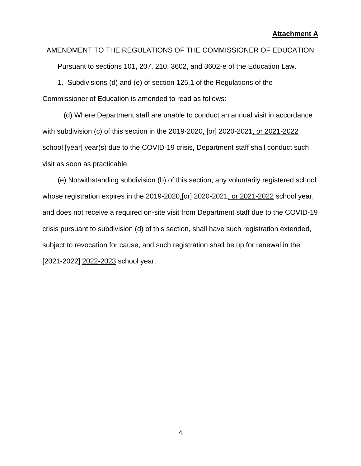#### AMENDMENT TO THE REGULATIONS OF THE COMMISSIONER OF EDUCATION

Pursuant to sections 101, 207, 210, 3602, and 3602-e of the Education Law.

1. Subdivisions (d) and (e) of section 125.1 of the Regulations of the Commissioner of Education is amended to read as follows:

(d) Where Department staff are unable to conduct an annual visit in accordance with subdivision (c) of this section in the 2019-2020, [or] 2020-2021, or 2021-2022 school [year] year(s) due to the COVID-19 crisis, Department staff shall conduct such visit as soon as practicable.

(e) Notwithstanding subdivision (b) of this section, any voluntarily registered school whose registration expires in the 2019-2020,[or] 2020-2021, or 2021-2022 school year, and does not receive a required on-site visit from Department staff due to the COVID-19 crisis pursuant to subdivision (d) of this section, shall have such registration extended, subject to revocation for cause, and such registration shall be up for renewal in the [2021-2022] 2022-2023 school year.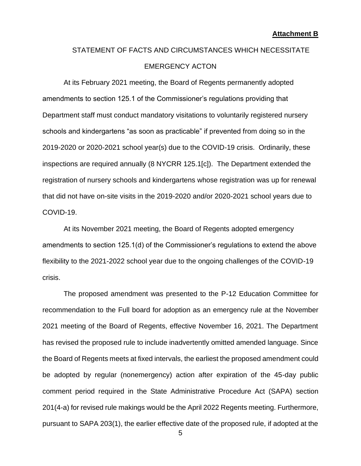# STATEMENT OF FACTS AND CIRCUMSTANCES WHICH NECESSITATE EMERGENCY ACTON

At its February 2021 meeting, the Board of Regents permanently adopted amendments to section 125.1 of the Commissioner's regulations providing that Department staff must conduct mandatory visitations to voluntarily registered nursery schools and kindergartens "as soon as practicable" if prevented from doing so in the 2019-2020 or 2020-2021 school year(s) due to the COVID-19 crisis. Ordinarily, these inspections are required annually (8 NYCRR 125.1[c]). The Department extended the registration of nursery schools and kindergartens whose registration was up for renewal that did not have on-site visits in the 2019-2020 and/or 2020-2021 school years due to COVID-19.

At its November 2021 meeting, the Board of Regents adopted emergency amendments to section 125.1(d) of the Commissioner's regulations to extend the above flexibility to the 2021-2022 school year due to the ongoing challenges of the COVID-19 crisis.

The proposed amendment was presented to the P-12 Education Committee for recommendation to the Full board for adoption as an emergency rule at the November 2021 meeting of the Board of Regents, effective November 16, 2021. The Department has revised the proposed rule to include inadvertently omitted amended language. Since the Board of Regents meets at fixed intervals, the earliest the proposed amendment could be adopted by regular (nonemergency) action after expiration of the 45-day public comment period required in the State Administrative Procedure Act (SAPA) section 201(4-a) for revised rule makings would be the April 2022 Regents meeting. Furthermore, pursuant to SAPA 203(1), the earlier effective date of the proposed rule, if adopted at the